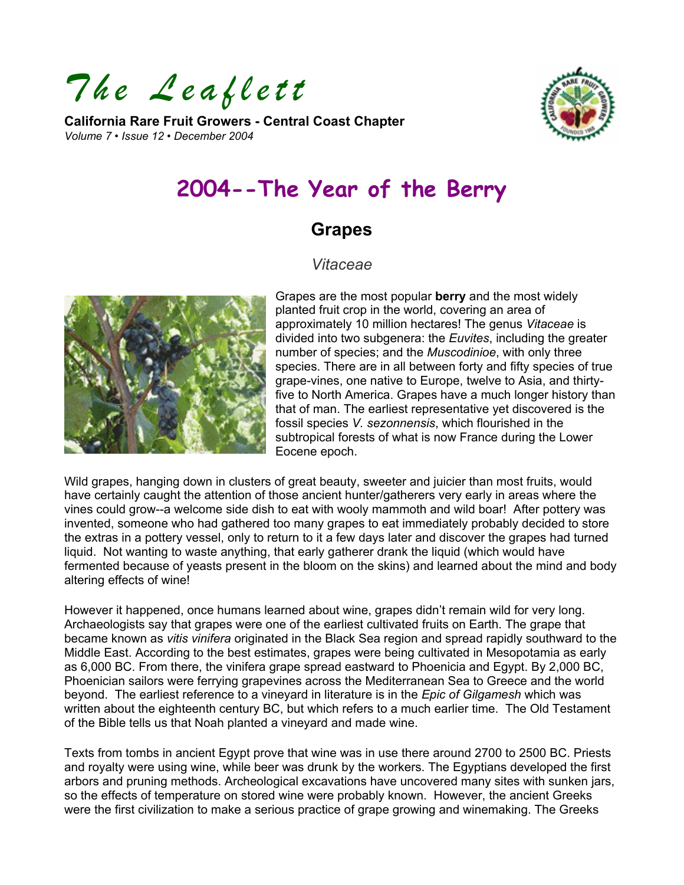*The Leaflett* 

**California Rare Fruit Growers - Central Coast Chapter**  *Volume 7 • Issue 12 • December 2004* 



# **2004--The Year of the Berry**

## **Grapes**

## *Vitaceae*



Grapes are the most popular **berry** and the most widely planted fruit crop in the world, covering an area of approximately 10 million hectares! The genus *Vitaceae* is divided into two subgenera: the *Euvites*, including the greater number of species; and the *Muscodinioe*, with only three species. There are in all between forty and fifty species of true grape-vines, one native to Europe, twelve to Asia, and thirtyfive to North America. Grapes have a much longer history than that of man. The earliest representative yet discovered is the fossil species *V. sezonnensis*, which flourished in the subtropical forests of what is now France during the Lower Eocene epoch.

Wild grapes, hanging down in clusters of great beauty, sweeter and juicier than most fruits, would have certainly caught the attention of those ancient hunter/gatherers very early in areas where the vines could grow--a welcome side dish to eat with wooly mammoth and wild boar! After pottery was invented, someone who had gathered too many grapes to eat immediately probably decided to store the extras in a pottery vessel, only to return to it a few days later and discover the grapes had turned liquid. Not wanting to waste anything, that early gatherer drank the liquid (which would have fermented because of yeasts present in the bloom on the skins) and learned about the mind and body altering effects of wine!

However it happened, once humans learned about wine, grapes didn't remain wild for very long. Archaeologists say that grapes were one of the earliest cultivated fruits on Earth. The grape that became known as *vitis vinifera* originated in the Black Sea region and spread rapidly southward to the Middle East. According to the best estimates, grapes were being cultivated in Mesopotamia as early as 6,000 BC. From there, the vinifera grape spread eastward to Phoenicia and Egypt. By 2,000 BC, Phoenician sailors were ferrying grapevines across the Mediterranean Sea to Greece and the world beyond. The earliest reference to a vineyard in literature is in the *Epic of Gilgamesh* which was written about the eighteenth century BC, but which refers to a much earlier time. The Old Testament of the Bible tells us that Noah planted a vineyard and made wine.

Texts from tombs in ancient Egypt prove that wine was in use there around 2700 to 2500 BC. Priests and royalty were using wine, while beer was drunk by the workers. The Egyptians developed the first arbors and pruning methods. Archeological excavations have uncovered many sites with sunken jars, so the effects of temperature on stored wine were probably known. However, the ancient Greeks were the first civilization to make a serious practice of grape growing and winemaking. The Greeks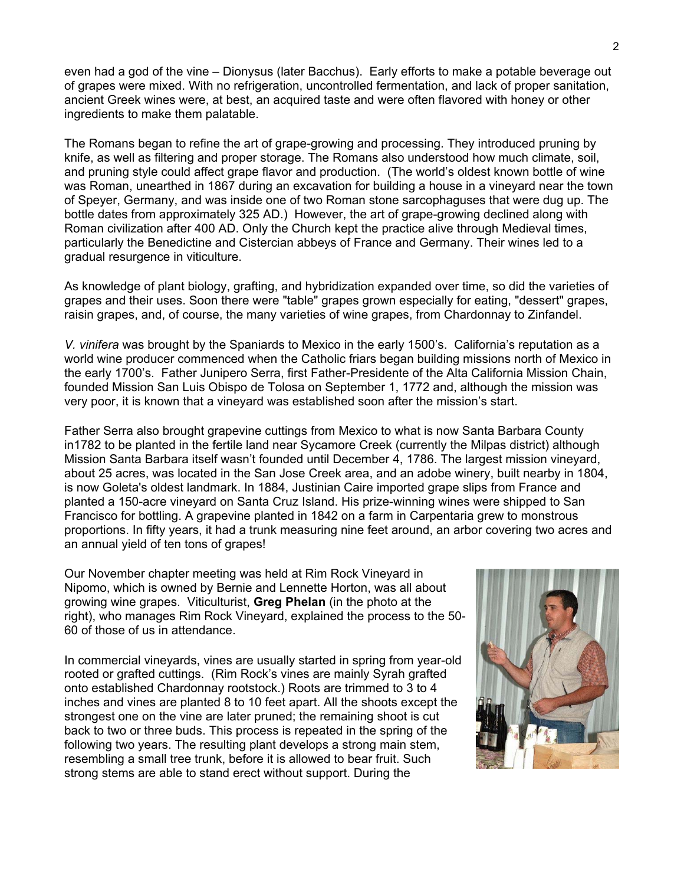even had a god of the vine – Dionysus (later Bacchus). Early efforts to make a potable beverage out of grapes were mixed. With no refrigeration, uncontrolled fermentation, and lack of proper sanitation, ancient Greek wines were, at best, an acquired taste and were often flavored with honey or other ingredients to make them palatable.

The Romans began to refine the art of grape-growing and processing. They introduced pruning by knife, as well as filtering and proper storage. The Romans also understood how much climate, soil, and pruning style could affect grape flavor and production. (The world's oldest known bottle of wine was Roman, unearthed in 1867 during an excavation for building a house in a vineyard near the town of Speyer, Germany, and was inside one of two Roman stone sarcophaguses that were dug up. The bottle dates from approximately 325 AD.) However, the art of grape-growing declined along with Roman civilization after 400 AD. Only the Church kept the practice alive through Medieval times, particularly the Benedictine and Cistercian abbeys of France and Germany. Their wines led to a gradual resurgence in viticulture.

As knowledge of plant biology, grafting, and hybridization expanded over time, so did the varieties of grapes and their uses. Soon there were "table" grapes grown especially for eating, "dessert" grapes, raisin grapes, and, of course, the many varieties of wine grapes, from Chardonnay to Zinfandel.

*V. vinifera* was brought by the Spaniards to Mexico in the early 1500's. California's reputation as a world wine producer commenced when the Catholic friars began building missions north of Mexico in the early 1700's. Father Junipero Serra, first Father-Presidente of the Alta California Mission Chain, founded Mission San Luis Obispo de Tolosa on September 1, 1772 and, although the mission was very poor, it is known that a vineyard was established soon after the mission's start.

Father Serra also brought grapevine cuttings from Mexico to what is now Santa Barbara County in1782 to be planted in the fertile land near Sycamore Creek (currently the Milpas district) although Mission Santa Barbara itself wasn't founded until December 4, 1786. The largest mission vineyard, about 25 acres, was located in the San Jose Creek area, and an adobe winery, built nearby in 1804, is now Goleta's oldest landmark. In 1884, Justinian Caire imported grape slips from France and planted a 150-acre vineyard on Santa Cruz Island. His prize-winning wines were shipped to San Francisco for bottling. A grapevine planted in 1842 on a farm in Carpentaria grew to monstrous proportions. In fifty years, it had a trunk measuring nine feet around, an arbor covering two acres and an annual yield of ten tons of grapes!

Our November chapter meeting was held at Rim Rock Vineyard in Nipomo, which is owned by Bernie and Lennette Horton, was all about growing wine grapes. Viticulturist, **Greg Phelan** (in the photo at the right), who manages Rim Rock Vineyard, explained the process to the 50- 60 of those of us in attendance.

In commercial vineyards, vines are usually started in spring from year-old rooted or grafted cuttings. (Rim Rock's vines are mainly Syrah grafted onto established Chardonnay rootstock.) Roots are trimmed to 3 to 4 inches and vines are planted 8 to 10 feet apart. All the shoots except the strongest one on the vine are later pruned; the remaining shoot is cut back to two or three buds. This process is repeated in the spring of the following two years. The resulting plant develops a strong main stem, resembling a small tree trunk, before it is allowed to bear fruit. Such strong stems are able to stand erect without support. During the

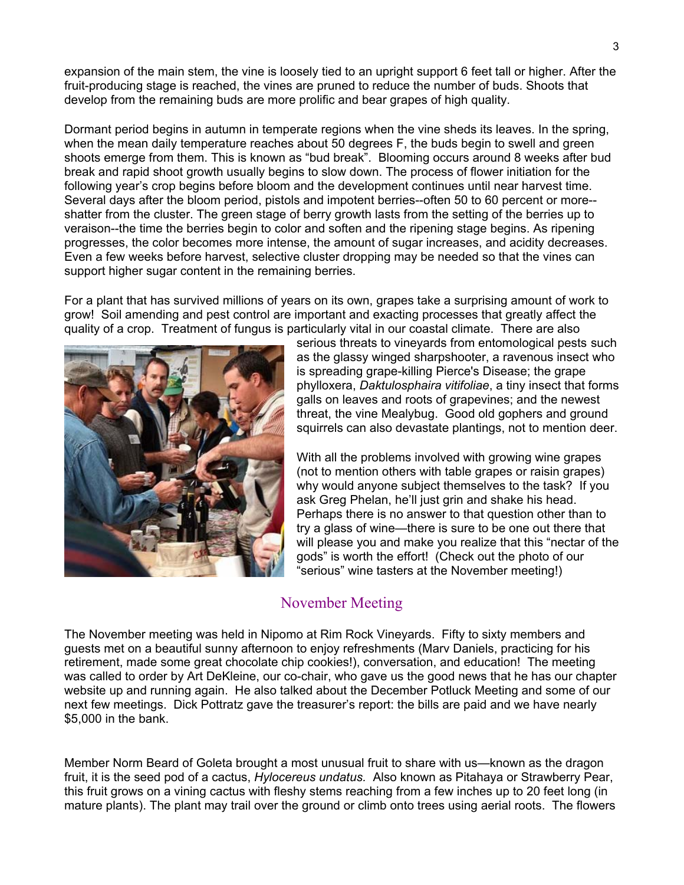expansion of the main stem, the vine is loosely tied to an upright support 6 feet tall or higher. After the fruit-producing stage is reached, the vines are pruned to reduce the number of buds. Shoots that develop from the remaining buds are more prolific and bear grapes of high quality.

Dormant period begins in autumn in temperate regions when the vine sheds its leaves. In the spring, when the mean daily temperature reaches about 50 degrees F, the buds begin to swell and green shoots emerge from them. This is known as "bud break". Blooming occurs around 8 weeks after bud break and rapid shoot growth usually begins to slow down. The process of flower initiation for the following year's crop begins before bloom and the development continues until near harvest time. Several days after the bloom period, pistols and impotent berries--often 50 to 60 percent or more- shatter from the cluster. The green stage of berry growth lasts from the setting of the berries up to veraison--the time the berries begin to color and soften and the ripening stage begins. As ripening progresses, the color becomes more intense, the amount of sugar increases, and acidity decreases. Even a few weeks before harvest, selective cluster dropping may be needed so that the vines can support higher sugar content in the remaining berries.

For a plant that has survived millions of years on its own, grapes take a surprising amount of work to grow! Soil amending and pest control are important and exacting processes that greatly affect the quality of a crop. Treatment of fungus is particularly vital in our coastal climate. There are also



serious threats to vineyards from entomological pests such as the glassy winged sharpshooter, a ravenous insect who is spreading grape-killing Pierce's Disease; the grape phylloxera, *Daktulosphaira vitifoliae*, a tiny insect that f orms galls on leaves and roots of grapevines; and the newest threat, the vine Mealybug. Good old gophers and ground squirrels can also devastate plantings, not to mention deer.

With all the problems involved with growing wine grapes Perhaps there is no answer to that question other than to will please you and make you realize that this "nectar of the (not to mention others with table grapes or raisin grapes) why would anyone subject themselves to the task? If you ask Greg Phelan, he'll just grin and shake his head. try a glass of wine—there is sure to be one out there that gods" is worth the effort! (Check out the photo of our "serious" wine tasters at the November meeting!)

## November Meeting

The November meeting was held in Nipomo at Rim Rock Vineyards. Fifty to sixty members and was called to order by Art DeKleine, our co-chair, who gave us the good news that he has our chapter guests met on a beautiful sunny afternoon to enjoy refreshments (Marv Daniels, practicing for his retirement, made some great chocolate chip cookies!), conversation, and education! The meeting website up and running again. He also talked about the December Potluck Meeting and some of our next few meetings. Dick Pottratz gave the treasurer's report: the bills are paid and we have nearly \$5,000 in the bank.

Member Norm Beard of Goleta brought a most unusual fruit to share with us—known as the dragon fruit, it is the seed pod of a cactus, *Hylocereus undatus.* Also known as Pitahaya or Strawberry Pear, this fruit grows on a vining cactus with fleshy stems reaching from a few inches up to 20 feet long (in mature plants). The plant may trail over the ground or climb onto trees using aerial roots. The flowers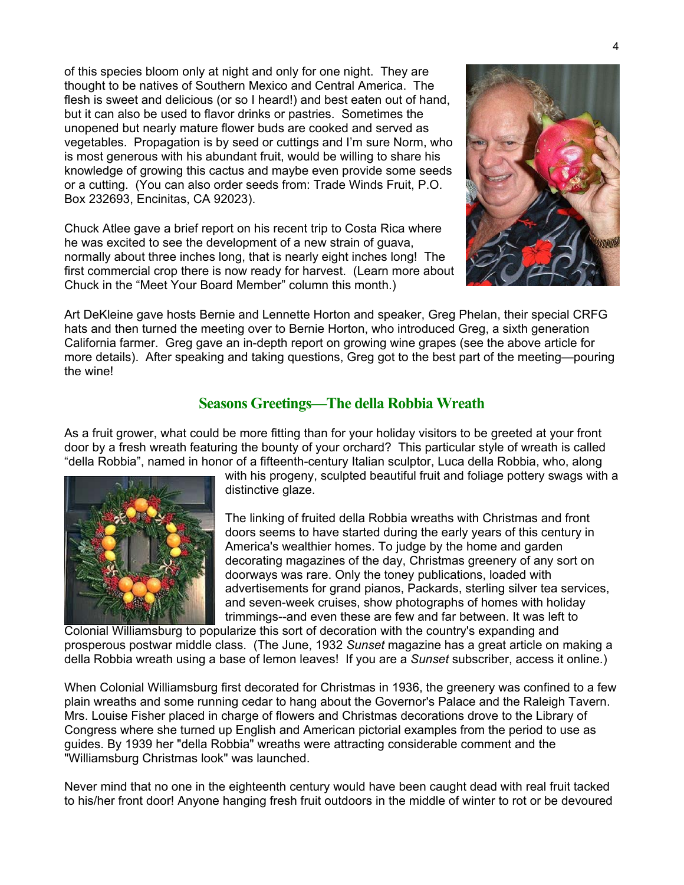of this species bloom only at night and only for one night. They are thought to be natives of Southern Mexico and Central America. The flesh is sweet and delicious (or so I heard!) and best eaten out of hand, but it can also be used to flavor drinks or pastries. Sometimes the unopened but nearly mature flower buds are cooked and served as vegetables. Propagation is by seed or cuttings and I'm sure Norm, who is most generous with his abundant fruit, would be willing to share his knowledge of growing this cactus and maybe even provide some seeds or a cutting. (You can also order seeds from: Trade Winds Fruit, P.O . Box 232693, Encinitas, CA 92023).

Chuck Atlee gave a brief report on his recent trip to Costa Rica where normally about three inches long, that is nearly eight inches long! The first commercial crop there is now ready for harvest. (Learn more about he was excited to see the development of a new strain of guava, Chuck in the "Meet Your Board Member" column this month.)



Art DeKleine gave hosts Bernie and Lennette Horton and speaker, Greg Phelan, their special CRFG more details). After speaking and taking questions, Greg got to the best part of the meeting—pouring hats and then turned the meeting over to Bernie Horton, who introduced Greg, a sixth generation California farmer. Greg gave an in-depth report on growing wine grapes (see the above article for the wine!

## **Seasons Greetings—The della Robbia Wreath**

As a fruit grower, what could be more fitting than for your holiday visitors to be greeted at your front door by a fresh wreath featuring the bounty of your orchard? This particular style of wreath is called "della Robbia", named in honor of a fifteenth-century Italian sculptor, Luca della Robbia, who, along



with his progeny, sculpted beautiful fruit and foliage pottery swags with a distinctive glaze.

The linking of fruited della Robbia wreaths with Christmas and front decorating magazines of the day, Christmas greenery of any sort on advertisements for grand pianos, Packards, sterling silver tea services, doors seems to have started during the early years of this century in America's wealthier homes. To judge by the home and garden doorways was rare. Only the toney publications, loaded with and seven-week cruises, show photographs of homes with holiday trimmings--and even these are few and far between. It was left to

Colonial Williamsburg to popularize this sort of decoration with the country's expanding and prosperous postwar middle class. (The June, 1932 Sunset magazine has a great article on making a della Robbia wreath using a base of lemon leaves! If you are a *Sunset* subscriber, access it online.)

When Colonial Williamsburg first decorated for Christmas in 1936, the greenery was confined to a few plain wreaths and some running cedar to hang about the Governor's Palace and the Raleigh Tavern. Mrs. Louise Fisher placed in charge of flowers and Christmas decorations drove to the Library of Congress where she turned up English and American pictorial examples from the period to use as guides. By 1939 her "della Robbia" wreaths were attracting considerable comment and the "Williamsburg Christmas look" was launched.

Never mind that no one in the eighteenth century would have been caught dead with real fruit tacked to his/her front door! Anyone hanging fresh fruit outdoors in the middle of winter to rot or be devoured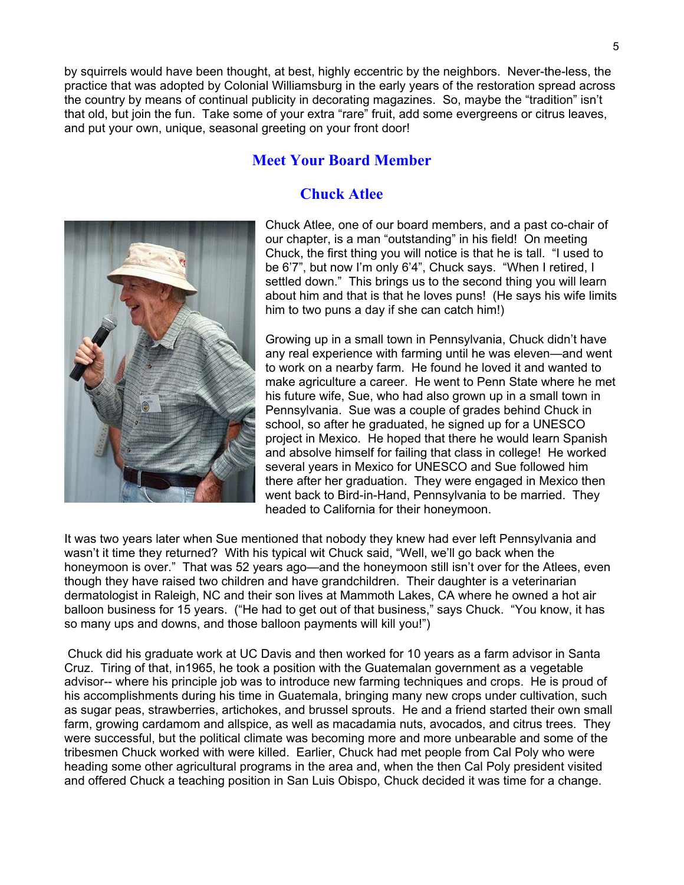by squirrels would have been thought, at best, highly eccentric by the neighbors. Never-the-less, the practice that was adopted by Colonial Williamsburg in the early years of the restoration spread across the country by means of continual publicity in decorating magazines. So, maybe the "tradition" isn't that old, but join the fun. Take some of your extra "rare" fruit, add some evergreens or citrus leaves, and put your own, unique, seasonal greeting on your front door!

## **Meet Your Board Member**

## **Chuck Atlee**



Chuck Atlee, one of our board members, and a past co-chair of our chapter, is a man "outstanding" in his field! On meeting about him and that is that he loves puns! (He says his wife limits Chuck, the first thing you will notice is that he is tall. "I used to be 6'7", but now I'm only 6'4", Chuck says. "When I retired, I settled down." This brings us to the second thing you will learn him to two puns a day if she can catch him!)

Growing up in a small town in Pennsylvania, Chuck didn't have any real experience with farming until he was eleven—and went project in Mexico. He hoped that there he would learn Spanish and absolve himself for failing that class in college! He worked to work on a nearby farm. He found he loved it and wanted to make agriculture a career. He went to Penn State where he met his future wife, Sue, who had also grown up in a small town in Pennsylvania. Sue was a couple of grades behind Chuck in school, so after he graduated, he signed up for a UNESCO several years in Mexico for UNESCO and Sue followed him there after her graduation. They were engaged in Mexico then went back to Bird-in-Hand, Pennsylvania to be married. They headed to California for their honeymoon.

It was two years later when Sue mentioned that nobody they knew had ever left Pennsylvania and wasn't it time they returned? With his typical wit Chuck said, "Well, we'll go back when the honeymoon is over." That was 52 years ago—and the honeymoon still isn't over for the Atlees, even though they have raised two children and have grandchildren. Their daughter is a veterinarian balloon business for 15 years. ("He had to get out of that business," says Chuck. "You know, it has dermatologist in Raleigh, NC and their son lives at Mammoth Lakes, CA where he owned a hot air so many ups and downs, and those balloon payments will kill you!")

Chuck did his graduate work at UC Davis and then worked for 10 years as a farm advisor in Santa Cruz. Tiring of that, in1965, he took a position with the Guatemalan government as a vegetable his accomplishments during his time in Guatemala, bringing many new crops under cultivation, such advisor-- where his principle job was to introduce new farming techniques and crops. He is proud of as sugar peas, strawberries, artichokes, and brussel sprouts. He and a friend started their own small farm, growing cardamom and allspice, as well as macadamia nuts, avocados, and citrus trees. They were successful, but the political climate was becoming more and more unbearable and some of the tribesmen Chuck worked with were killed. Earlier, Chuck had met people from Cal Poly who were heading some other agricultural programs in the area and, when the then Cal Poly president visited and offered Chuck a teaching position in San Luis Obispo, Chuck decided it was time for a change.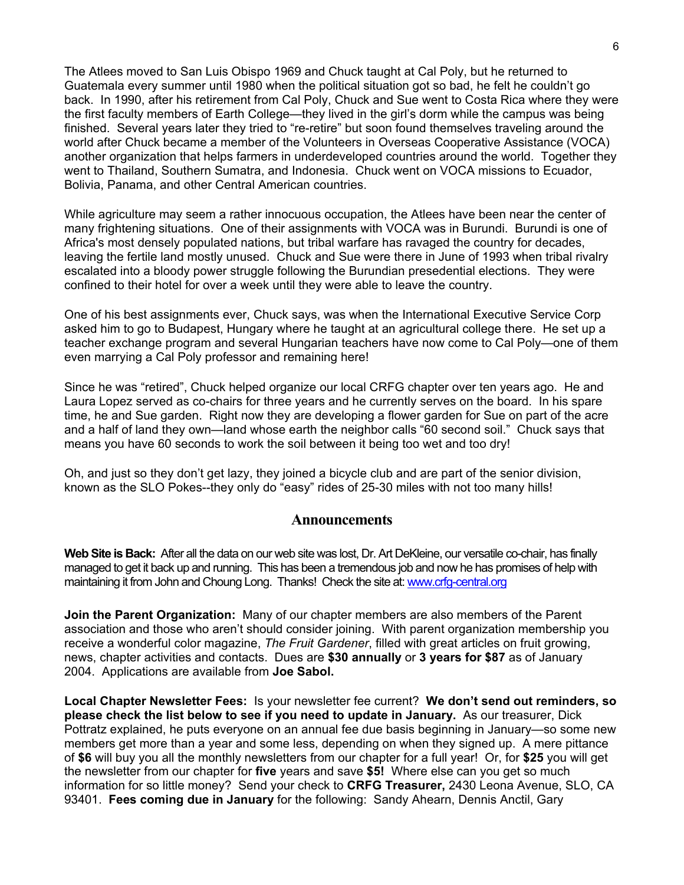The Atlees moved to San Luis Obispo 1969 and Chuck taught at Cal Poly, but he returned to Guatemala every summer until 1980 when the political situation got so bad, he felt he couldn't go back. In 1990, after his retirement from Cal Poly, Chuck and Sue went to Costa Rica where they were the first faculty members of Earth College—they lived in the girl's dorm while the campus was being finished. Several years later they tried to "re-retire" but soon found themselves traveling around the world after Chuck became a member of the Volunteers in Overseas Cooperative Assistance (VOCA) another organization that helps farmers in underdeveloped countries around the world. Together they went to Thailand, Southern Sumatra, and Indonesia. Chuck went on VOCA missions to Ecuador, Bolivia, Panama, and other Central American countries.

While agriculture may seem a rather innocuous occupation, the Atlees have been near the center of many frightening situations. One of their assignments with VOCA was in Burundi. Burundi is one of Africa's most densely populated nations, but tribal warfare has ravaged the country for decades, leaving the fertile land mostly unused. Chuck and Sue were there in June of 1993 when tribal rivalry escalated into a bloody power struggle following the Burundian presedential elections. They were confined to their hotel for over a week until they were able to leave the country.

One of his best assignments ever, Chuck says, was when the International Executive Service Corp asked him to go to Budapest, Hungary where he taught at an agricultural college there. He set up a teacher exchange program and several Hungarian teachers have now come to Cal Poly—one of them even marrying a Cal Poly professor and remaining here!

Since he was "retired", Chuck helped organize our local CRFG chapter over ten years ago. He and Laura Lopez served as co-chairs for three years and he currently serves on the board. In his spare time, he and Sue garden. Right now they are developing a flower garden for Sue on part of the acre and a half of land they own—land whose earth the neighbor calls "60 second soil." Chuck says that means you have 60 seconds to work the soil between it being too wet and too dry!

Oh, and just so they don't get lazy, they joined a bicycle club and are part of the senior division, known as the SLO Pokes--they only do "easy" rides of 25-30 miles with not too many hills!

#### **Announcements**

**Web Site is Back:** After all the data on our web site was lost, Dr. Art DeKleine, our versatile co-chair, has finally managed to get it back up and running. This has been a tremendous job and now he has promises of help with maintaining it from John and Choung Long. Thanks! Check the site at: [www.crfg-central.org](http://www.crfg-central.org/)

**Join the Parent Organization:** Many of our chapter members are also members of the Parent association and those who aren't should consider joining. With parent organization membership you receive a wonderful color magazine, *The Fruit Gardener*, filled with great articles on fruit growing, news, chapter activities and contacts. Dues are **\$30 annually** or **3 years for \$87** as of January 2004. Applications are available from **Joe Sabol.** 

**Local Chapter Newsletter Fees:** Is your newsletter fee current? **We don't send out reminders, so please check the list below to see if you need to update in January.** As our treasurer, Dick Pottratz explained, he puts everyone on an annual fee due basis beginning in January—so some new members get more than a year and some less, depending on when they signed up. A mere pittance of **\$6** will buy you all the monthly newsletters from our chapter for a full year! Or, for **\$25** you will get the newsletter from our chapter for **five** years and save **\$5!** Where else can you get so much information for so little money? Send your check to **CRFG Treasurer,** 2430 Leona Avenue, SLO, CA 93401. **Fees coming due in January** for the following: Sandy Ahearn, Dennis Anctil, Gary